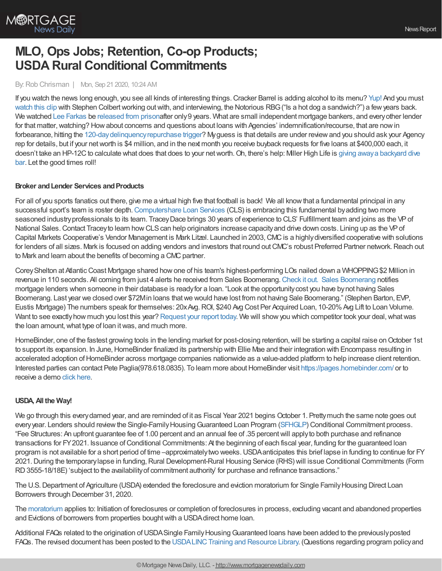

# **MLO, Ops Jobs; Retention, Co-op Products; USDA Rural Conditional Commitments**

#### By:Rob Chrisman | Mon, Sep 21 2020, 10:24 AM

If you watch the news long enough, you see all kinds of interesting things. Cracker Barrel is adding alcohol to its menu? [Yup!](https://www.cnn.com/2020/09/19/business/cracker-barrel-alcohol-sales-trnd/index.html?utm_source=feedburner&utm_medium=feed&utm_campaign=Feed%253A+rss%252Fcnn_topstories+%2528RSS%253A+CNN+-+Top+Stories%2529) And you must [watch](https://www.youtube.com/watch?v=0oBodJHX1Vg) this clip with Stephen Colbert working out with, and interviewing, the Notorious RBG ("Is a hot dog a sandwich?") a few years back. We watched Lee [Farkas](https://www.bbc.com/news/world-us-canada-13139151) be [released](https://www.ocalapost.com/lee-farkas-former-owner-of-taylor-bean-whitaker-a-free-man-after-9-years/) from prisonafter only 9 years. What are small independent mortgage bankers, and every other lender for that matter, watching? How about concerns and questions about loans with Agencies' indemnification/recourse, that are now in forbearance, hitting the 120-day delinquency repurchase trigger? My guess is that details are under review and you should ask your Agency rep for details, but if your networth is \$4 million, and in the next month you receive buyback requests for five loans at \$400,000 each, it doesn't take an HP-12C to calculate what does that does to your net worth. Oh, there's help: Miller High Life is giving away a backyard dive bar. Let the good times roll!

### **Broker** and Lender Services and Products

For all of you sports fanatics out there, give me a virtual high five that football is back! We all knowthat a fundamental principal in any successful sport's team is roster depth. [Computershare](https://www.computershareloanservices.com/us?utm_source=Chrisman&utm_medium=Blog&utm_campaign=Chrisman_Webinar_Staff) Loan Services (CLS) is embracing this fundamental byadding two more seasoned industryprofessionals to its team. TraceyDace brings 30 years of experience to CLS' Fulfillment team and joins as the VPof National Sales. Contact Tracey to learn how CLS can help originators increase capacity and drive down costs. Lining up as the VP of Capital Markets Cooperative's Vendor Management is Mark Litzel. Launched in 2003, CMC is a highly diversified cooperative with solutions for lenders of all sizes. Mark is focused on adding vendors and investors that round out CMC's robust Preferred Partner network. Reach out to Mark and learn about the benefits of becoming a CMC partner.

CoreyShelton at AtlanticCoast Mortgage shared howone of his team's highest-performing LOs nailed down a WHOPPING\$2 Million in revenue in 110 seconds. All coming from just 4 alerts he received from Sales Boomerang. [Check](https://www.youtube.com/watch?v=Dgc8nq43wb8&t=67s&utm_campaign=Newsletter&utm_source=email&utm_content=Newsletter%201%20) it out. Sales [Boomerang](https://hubs.ly/H0vBYJr0) notifies mortgage lenders when someone in their database is readyfor a loan. "Look at the opportunitycost you have bynot having Sales Boomerang. Last year we closed over \$72Min loans thatwe would have lost from not having Sale Boomerang." (Stephen Barton, EVP, Eustis Mortgage) The numbers speak for themselves: 20xAvg. ROI, \$240 Avg Cost Per Acquired Loan, 10-20% Avg Lift to Loan Volume. Want to see exactly how much you lost this year? [Request](https://hubs.ly/H0sx4nY0) your report today. We will show you which competitor took your deal, what was the loan amount, what type of loan it was, and much more.

HomeBinder, one of the fastest growing tools in the lending market for post-closing retention, will be starting a capital raise on October 1st to support its expansion. In June, HomeBinder finalized its partnership with Ellie Mae and their integration with Encompass resulting in accelerated adoption of HomeBinder across mortgage companies nationwide as a value-added platform to help increase client retention. Interested parties can contact Pete Paglia(978.618.0835). To learn more about HomeBinder visit <https://pages.homebinder.com/> or to receive a demo click [here](https://hubs.ly/H0t4tHx0).

### **USDA,All the Way!**

We go through this everydarned year, and are reminded of it as Fiscal Year 2021 begins October 1. Prettymuch the same note goes out every year. Lenders should review the Single-Family Housing Guaranteed Loan Program [\(SFHGLP](https://www.rd.usda.gov/programs-services/single-family-housing-guaranteed-loan-program)) Conditional Commitment process. "Fee Structures: An upfront guarantee fee of 1.00 percent and an annual fee of .35 percentwill applyto both purchase and refinance transactions for FY2021. Issuance ofConditional Commitments: At the beginning of each fiscal year, funding for the guaranteed loan program is not available for a short period of time –approximatelytwo weeks.USDAanticipates this brief lapse in funding to continue for FY 2021.During the temporarylapse in funding,Rural Development-Rural Housing Service (RHS) will issue Conditional Commitments (Form RD3555-18/18E) 'subject to the availabilityof commitment authority' for purchase and refinance transactions."

The U.S. Department of Agriculture (USDA) extended the foreclosure and eviction moratorium for Single Family Housing Direct Loan Borrowers through December 31, 2020.

The [moratorium](https://www.rd.usda.gov/coronavirus) applies to: Initiation of foreclosures or completion of foreclosures in process, excluding vacant and abandoned properties and Evictions of borrowers from properties bought with a USDA direct home loan.

Additional FAQs related to the origination of USDA Single Family Housing Guaranteed loans have been added to the previously posted FAQs. The revised document has been posted to the USDALINC Training and Resource Library. (Questions regarding program policy and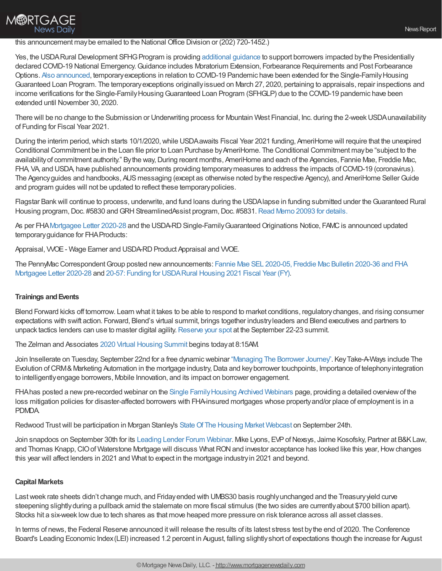## this announcement maybe emailed to the National Office Division or (202) 720-1452.)

Yes, the USDA Rural Development SFHG Program is providing [additional](https://www.rd.usda.gov/page/sfh-guaranteed-lender) guidance to support borrowers impacted by the Presidentially declared COVID-19 National Emergency. Guidance includes Moratorium Extension, Forbearance Requirements and Post Forbearance Options. Also [announced](https://www.hud.gov/sites/dfiles/OCHCO/documents/2020-28hsgml.pdf), temporaryexceptions in relation to COVID-19 Pandemic have been extended for the Single-FamilyHousing Guaranteed Loan Program. The temporaryexceptions originallyissued on March 27, 2020, pertaining to appraisals, repair inspections and income verifications for the Single-Family Housing Guaranteed Loan Program (SFHGLP) due to the COVID-19 pandemic have been extended until November 30, 2020.

There will be no change to the Submission or Underwriting process for Mountain West Financial, Inc. during the 2-week USDA unavailability of Funding for Fiscal Year 2021.

During the interim period, which starts 10/1/2020, while USDA awaits Fiscal Year 2021 funding, AmeriHome will require that the unexpired Conditional Commitment be in the Loan file prior to Loan Purchase by AmeriHome. The Conditional Commitment may be "subject to the availability of commitment authority." By the way, During recent months, AmeriHome and each of the Agencies, Fannie Mae, Freddie Mac, FHA, VA, and USDA, have published announcements providing temporarymeasures to address the impacts ofCOVID-19 (coronavirus). The Agency guides and handbooks, AUS messaging (except as otherwise noted by the respective Agency), and AmeriHome Seller Guide and program guides will not be updated to reflect these temporarypolicies.

Flagstar Bankwill continue to process, underwrite, and fund loans during the USDAlapse in funding submitted under theGuaranteed Rural Housing program, Doc. #5830 and GRH StreamlinedAssist program, Doc. #5831. Read Memo 20093 for [details.](https://www.flagstar.com/content/dam/tpo/sellers-guide/announcements/20093.pdf)

As per FHA [Mortgagee](https://www.hud.gov/sites/dfiles/OCHCO/documents/2020-28hsgml.pdf) Letter 2020-28 and the USDA-RD Single-Family Guaranteed Originations Notice, FAMC is announced updated temporaryguidance for FHAProducts:

Appraisal, WOE - Wage Earner and USDA-RD Product Appraisal and WOE.

The [PennyMacCorrespondentGroup](https://clicks.aweber.com/y/ct/?l=DmJZc&m=3iikCK3L.Q6R._Z&b=cy7ryA91srSmuBjKfi7M8g) posted newannouncements: Fannie Mae SEL 2020-05, Freddie Mac Bulletin 2020-36 and FHA Mortgagee Letter 2020-28 and 20-57: Funding for [USDARural](https://clicks.aweber.com/y/ct/?l=DmJZc&m=3ktZbPVN0Q6R._Z&b=_Q7YewvU5QYui3G4TGgpNQ) Housing 2021 Fiscal Year (FY).

### **Trainings and Events**

**M®RTGAGE** 

**News Daily** 

Blend Forward kicks off tomorrow. Learn what it takes to be able to respond to market conditions, regulatorychanges, and rising consumer expectations with swift action. Forward, Blend's virtual summit, brings together industryleaders and Blend executives and partners to unpack tactics lenders can use to master digital agility. [Reserve](https://forward.blend.com/e/m25t52/?utm_source=chrisman&utm_medium=newsletter&utm_campaign=forwardreg) your spot at the September 22-23 summit.

The Zelman and Associates 2020 Virtual [Housing](https://www.meetmax.com/sched/event_63737/conference_home.html?bank_access=0&event_id=63737) Summit begins todayat 8:15AM.

Join Insellerate on Tuesday, September 22nd for a free dynamicwebinar ["Managing](https://register.gotowebinar.com/register/5741192732930800910) The Borrower Journey". KeyTake-A-Ways include The Evolution of CRM& Marketing Automation in the mortgage industry, Data and key borrower touchpoints, Importance of telephony integration to intelligentlyengage borrowers, Mobile Innovation, and its impact on borrower engagement.

FHA has posted a new pre-recorded webinar on the Single Family Housing Archived Webinars page, providing a detailed overview of the loss mitigation policies for disaster-affected borrowers with FHA-insured mortgages whose propertyand/or place of employment is in a PDMDA.

Redwood Trust will be participation in Morgan Stanley's State Of The Housing Market [Webcast](http://www.redwoodtrust.com/newsroom/press-releases/press-release/2020/Redwood-Trust-To-Participate-In-Morgan-Stanleys-State-Of-The-Housing-Market-Webcast/default.aspx) on September 24th.

Join snapdocs on September 30th for its Leading Lender Forum [Webinar](https://snapdocs.zoom.us/webinar/register/WN_EwqskUkrQIWw3ujoxXd_4Q?). Mike Lyons, EVP of Nexsys, Jaime Kosofsky, Partner at B&K Law, and Thomas Knapp, CIO of Waterstone Mortgage will discuss What RON and investor acceptance has looked like this year, How changes this year will affect lenders in 2021 and What to expect in the mortgage industryin 2021 and beyond.

### **Capital Markets**

Last week rate sheets didn't change much, and Friday ended with UMBS30 basis roughly unchanged and the Treasury yield curve steepening slightlyduring a pullback amid the stalemate on more fiscal stimulus (the two sides are currently about \$700 billion apart). Stocks hit a six-week lowdue to tech shares as that move heaped more pressure on risk tolerance across all asset classes.

In terms of news, the Federal Reserve announced itwill release the results of its latest stress test bythe end of 2020. The Conference Board's Leading Economic Index(LEI) increased 1.2 percent in August, falling slightlyshort of expectations though the increase for August